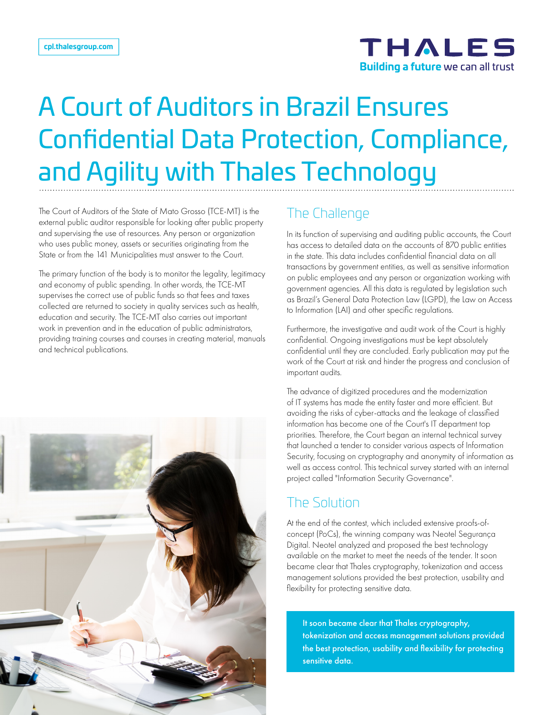

# A Court of Auditors in Brazil Ensures Confidential Data Protection, Compliance, and Agility with Thales Technology

The Court of Auditors of the State of Mato Grosso (TCE-MT) is the external public auditor responsible for looking after public property and supervising the use of resources. Any person or organization who uses public money, assets or securities originating from the State or from the 141 Municipalities must answer to the Court.

The primary function of the body is to monitor the legality, legitimacy and economy of public spending. In other words, the TCE-MT supervises the correct use of public funds so that fees and taxes collected are returned to society in quality services such as health, education and security. The TCE-MT also carries out important work in prevention and in the education of public administrators, providing training courses and courses in creating material, manuals and technical publications.



In its function of supervising and auditing public accounts, the Court has access to detailed data on the accounts of 870 public entities in the state. This data includes confidential financial data on all transactions by government entities, as well as sensitive information on public employees and any person or organization working with government agencies. All this data is regulated by legislation such as Brazil's General Data Protection Law (LGPD), the Law on Access to Information (LAI) and other specific regulations.

Furthermore, the investigative and audit work of the Court is highly confidential. Ongoing investigations must be kept absolutely confidential until they are concluded. Early publication may put the work of the Court at risk and hinder the progress and conclusion of important audits.

The advance of digitized procedures and the modernization of IT systems has made the entity faster and more efficient. But avoiding the risks of cyber-attacks and the leakage of classified information has become one of the Court's IT department top priorities. Therefore, the Court began an internal technical survey that launched a tender to consider various aspects of Information Security, focusing on cryptography and anonymity of information as well as access control. This technical survey started with an internal project called "Information Security Governance".

## The Solution

At the end of the contest, which included extensive proofs-ofconcept (PoCs), the winning company was Neotel Segurança Digital. Neotel analyzed and proposed the best technology available on the market to meet the needs of the tender. It soon became clear that Thales cryptography, tokenization and access management solutions provided the best protection, usability and flexibility for protecting sensitive data.

It soon became clear that Thales cryptography, tokenization and access management solutions provided the best protection, usability and flexibility for protecting sensitive data.